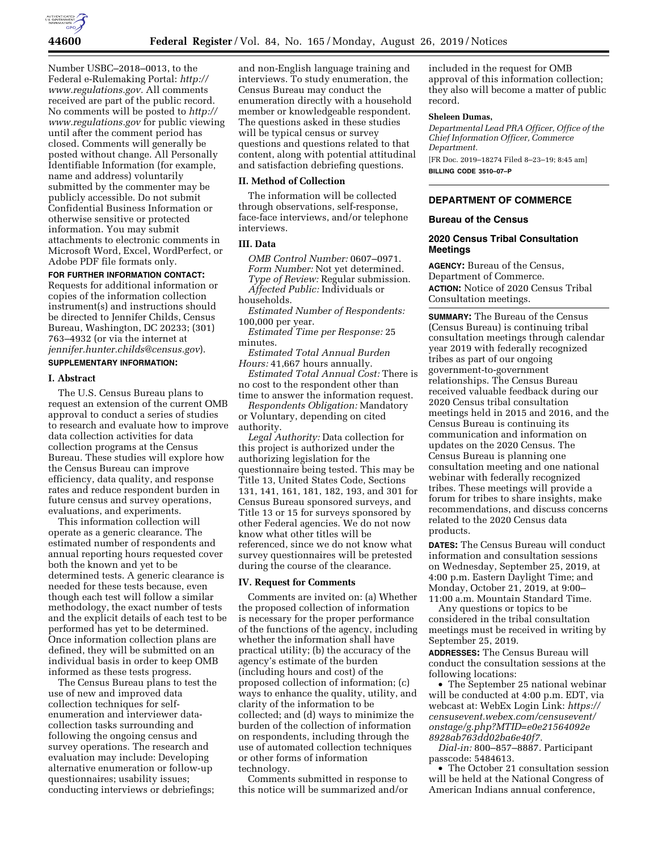

Number USBC–2018–0013, to the Federal e-Rulemaking Portal: *[http://](http://www.regulations.gov) [www.regulations.gov.](http://www.regulations.gov)* All comments received are part of the public record. No comments will be posted to *[http://](http://www.regulations.gov) [www.regulations.gov](http://www.regulations.gov)* for public viewing until after the comment period has closed. Comments will generally be posted without change. All Personally Identifiable Information (for example, name and address) voluntarily submitted by the commenter may be publicly accessible. Do not submit Confidential Business Information or otherwise sensitive or protected information. You may submit attachments to electronic comments in Microsoft Word, Excel, WordPerfect, or Adobe PDF file formats only.

# **FOR FURTHER INFORMATION CONTACT:**

Requests for additional information or copies of the information collection instrument(s) and instructions should be directed to Jennifer Childs, Census Bureau, Washington, DC 20233; (301) 763–4932 (or via the internet at *[jennifer.hunter.childs@census.gov](mailto:jennifer.hunter.childs@census.gov)*). **SUPPLEMENTARY INFORMATION:** 

# **I. Abstract**

The U.S. Census Bureau plans to request an extension of the current OMB approval to conduct a series of studies to research and evaluate how to improve data collection activities for data collection programs at the Census Bureau. These studies will explore how the Census Bureau can improve efficiency, data quality, and response rates and reduce respondent burden in future census and survey operations, evaluations, and experiments.

This information collection will operate as a generic clearance. The estimated number of respondents and annual reporting hours requested cover both the known and yet to be determined tests. A generic clearance is needed for these tests because, even though each test will follow a similar methodology, the exact number of tests and the explicit details of each test to be performed has yet to be determined. Once information collection plans are defined, they will be submitted on an individual basis in order to keep OMB informed as these tests progress.

The Census Bureau plans to test the use of new and improved data collection techniques for selfenumeration and interviewer datacollection tasks surrounding and following the ongoing census and survey operations. The research and evaluation may include: Developing alternative enumeration or follow-up questionnaires; usability issues; conducting interviews or debriefings;

and non-English language training and interviews. To study enumeration, the Census Bureau may conduct the enumeration directly with a household member or knowledgeable respondent. The questions asked in these studies will be typical census or survey questions and questions related to that content, along with potential attitudinal and satisfaction debriefing questions.

## **II. Method of Collection**

The information will be collected through observations, self-response, face-face interviews, and/or telephone interviews.

## **III. Data**

*OMB Control Number:* 0607–0971. *Form Number:* Not yet determined. *Type of Review:* Regular submission. *Affected Public:* Individuals or households.

*Estimated Number of Respondents:*  100,000 per year.

*Estimated Time per Response:* 25 minutes.

*Estimated Total Annual Burden Hours:* 41,667 hours annually.

*Estimated Total Annual Cost:* There is no cost to the respondent other than time to answer the information request.

*Respondents Obligation:* Mandatory or Voluntary, depending on cited authority.

*Legal Authority:* Data collection for this project is authorized under the authorizing legislation for the questionnaire being tested. This may be Title 13, United States Code, Sections 131, 141, 161, 181, 182, 193, and 301 for Census Bureau sponsored surveys, and Title 13 or 15 for surveys sponsored by other Federal agencies. We do not now know what other titles will be referenced, since we do not know what survey questionnaires will be pretested during the course of the clearance.

# **IV. Request for Comments**

Comments are invited on: (a) Whether the proposed collection of information is necessary for the proper performance of the functions of the agency, including whether the information shall have practical utility; (b) the accuracy of the agency's estimate of the burden (including hours and cost) of the proposed collection of information; (c) ways to enhance the quality, utility, and clarity of the information to be collected; and (d) ways to minimize the burden of the collection of information on respondents, including through the use of automated collection techniques or other forms of information technology.

Comments submitted in response to this notice will be summarized and/or

included in the request for OMB approval of this information collection; they also will become a matter of public record.

## **Sheleen Dumas,**

*Departmental Lead PRA Officer, Office of the Chief Information Officer, Commerce Department.*  [FR Doc. 2019–18274 Filed 8–23–19; 8:45 am]

**BILLING CODE 3510–07–P** 

# **DEPARTMENT OF COMMERCE**

## **Bureau of the Census**

## **2020 Census Tribal Consultation Meetings**

**AGENCY:** Bureau of the Census, Department of Commerce. **ACTION:** Notice of 2020 Census Tribal Consultation meetings.

**SUMMARY:** The Bureau of the Census (Census Bureau) is continuing tribal consultation meetings through calendar year 2019 with federally recognized tribes as part of our ongoing government-to-government relationships. The Census Bureau received valuable feedback during our 2020 Census tribal consultation meetings held in 2015 and 2016, and the Census Bureau is continuing its communication and information on updates on the 2020 Census. The Census Bureau is planning one consultation meeting and one national webinar with federally recognized tribes. These meetings will provide a forum for tribes to share insights, make recommendations, and discuss concerns related to the 2020 Census data products.

**DATES:** The Census Bureau will conduct information and consultation sessions on Wednesday, September 25, 2019, at 4:00 p.m. Eastern Daylight Time; and Monday, October 21, 2019, at 9:00– 11:00 a.m. Mountain Standard Time.

Any questions or topics to be considered in the tribal consultation meetings must be received in writing by September 25, 2019.

**ADDRESSES:** The Census Bureau will conduct the consultation sessions at the following locations:

• The September 25 national webinar will be conducted at 4:00 p.m. EDT, via webcast at: WebEx Login Link: *[https://](https://censusevent.webex.com/censusevent/onstage/g.php?MTID=e0e21564092e8928ab763dd02ba6e40f7)  [censusevent.webex.com/censusevent/](https://censusevent.webex.com/censusevent/onstage/g.php?MTID=e0e21564092e8928ab763dd02ba6e40f7)  [onstage/g.php?MTID=e0e21564092e](https://censusevent.webex.com/censusevent/onstage/g.php?MTID=e0e21564092e8928ab763dd02ba6e40f7) [8928ab763dd02ba6e40f7.](https://censusevent.webex.com/censusevent/onstage/g.php?MTID=e0e21564092e8928ab763dd02ba6e40f7)* 

*Dial-in:* 800–857–8887. Participant passcode: 5484613.

• The October 21 consultation session will be held at the National Congress of American Indians annual conference,